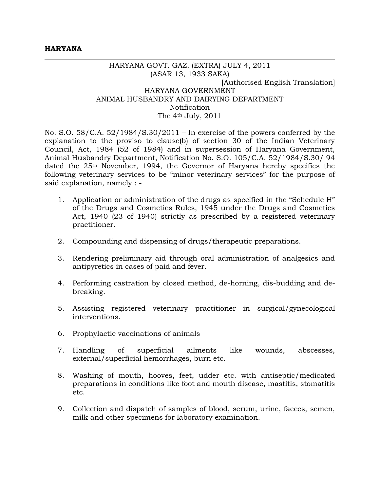## HARYANA GOVT. GAZ. (EXTRA) JULY 4, 2011 (ASAR 13, 1933 SAKA) [Authorised English Translation] HARYANA GOVERNMENT ANIMAL HUSBANDRY AND DAIRYING DEPARTMENT Notification The 4th July, 2011

No. S.O. 58/C.A. 52/1984/S.30/2011 – In exercise of the powers conferred by the explanation to the proviso to clause(b) of section 30 of the Indian Veterinary Council, Act, 1984 (52 of 1984) and in supersession of Haryana Government, Animal Husbandry Department, Notification No. S.O. 105/C.A. 52/1984/S.30/ 94 dated the 25th November, 1994, the Governor of Haryana hereby specifies the following veterinary services to be "minor veterinary services" for the purpose of said explanation, namely : -

- 1. Application or administration of the drugs as specified in the "Schedule H" of the Drugs and Cosmetics Rules, 1945 under the Drugs and Cosmetics Act, 1940 (23 of 1940) strictly as prescribed by a registered veterinary practitioner.
- 2. Compounding and dispensing of drugs/therapeutic preparations.
- 3. Rendering preliminary aid through oral administration of analgesics and antipyretics in cases of paid and fever.
- 4. Performing castration by closed method, de-horning, dis-budding and debreaking.
- 5. Assisting registered veterinary practitioner in surgical/gynecological interventions.
- 6. Prophylactic vaccinations of animals
- 7. Handling of superficial ailments like wounds, abscesses, external/superficial hemorrhages, burn etc.
- 8. Washing of mouth, hooves, feet, udder etc. with antiseptic/medicated preparations in conditions like foot and mouth disease, mastitis, stomatitis etc.
- 9. Collection and dispatch of samples of blood, serum, urine, faeces, semen, milk and other specimens for laboratory examination.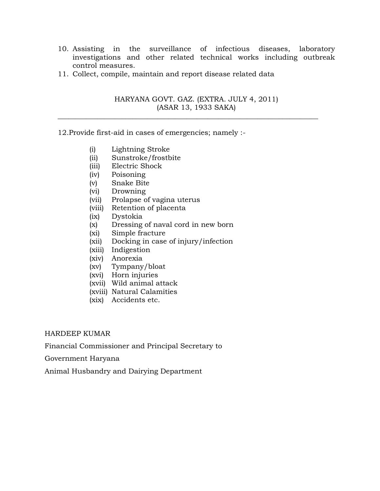- 10. Assisting in the surveillance of infectious diseases, laboratory investigations and other related technical works including outbreak control measures.
- 11. Collect, compile, maintain and report disease related data

# HARYANA GOVT. GAZ. (EXTRA. JULY 4, 2011) (ASAR 13, 1933 SAKA)

 $\_$  , and the set of the set of the set of the set of the set of the set of the set of the set of the set of the set of the set of the set of the set of the set of the set of the set of the set of the set of the set of th

# 12.Provide first-aid in cases of emergencies; namely :-

- (i) Lightning Stroke
- (ii) Sunstroke/frostbite
- (iii) Electric Shock
- (iv) Poisoning
- (v) Snake Bite
- (vi) Drowning
- (vii) Prolapse of vagina uterus
- (viii) Retention of placenta
- (ix) Dystokia
- (x) Dressing of naval cord in new born
- (xi) Simple fracture
- (xii) Docking in case of injury/infection
- (xiii) Indigestion
- (xiv) Anorexia
- (xv) Tympany/bloat
- (xvi) Horn injuries
- (xvii) Wild animal attack
- (xviii) Natural Calamities
- (xix) Accidents etc.

### HARDEEP KUMAR

Financial Commissioner and Principal Secretary to

Government Haryana

Animal Husbandry and Dairying Department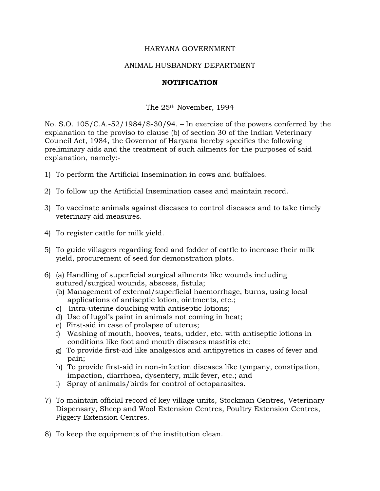### HARYANA GOVERNMENT

#### ANIMAL HUSBANDRY DEPARTMENT

#### **NOTIFICATION**

The 25th November, 1994

No. S.O. 105/C.A.-52/1984/S-30/94. – In exercise of the powers conferred by the explanation to the proviso to clause (b) of section 30 of the Indian Veterinary Council Act, 1984, the Governor of Haryana hereby specifies the following preliminary aids and the treatment of such ailments for the purposes of said explanation, namely:-

- 1) To perform the Artificial Insemination in cows and buffaloes.
- 2) To follow up the Artificial Insemination cases and maintain record.
- 3) To vaccinate animals against diseases to control diseases and to take timely veterinary aid measures.
- 4) To register cattle for milk yield.
- 5) To guide villagers regarding feed and fodder of cattle to increase their milk yield, procurement of seed for demonstration plots.
- 6) (a) Handling of superficial surgical ailments like wounds including sutured/surgical wounds, abscess, fistula;
	- (b) Management of external/superficial haemorrhage, burns, using local applications of antiseptic lotion, ointments, etc.;
	- c) Intra-uterine douching with antiseptic lotions;
	- d) Use of lugol's paint in animals not coming in heat;
	- e) First-aid in case of prolapse of uterus;
	- f) Washing of mouth, hooves, teats, udder, etc. with antiseptic lotions in conditions like foot and mouth diseases mastitis etc;
	- g) To provide first-aid like analgesics and antipyretics in cases of fever and pain;
	- h) To provide first-aid in non-infection diseases like tympany, constipation, impaction, diarrhoea, dysentery, milk fever, etc.; and
	- i) Spray of animals/birds for control of octoparasites.
- 7) To maintain official record of key village units, Stockman Centres, Veterinary Dispensary, Sheep and Wool Extension Centres, Poultry Extension Centres, Piggery Extension Centres.
- 8) To keep the equipments of the institution clean.